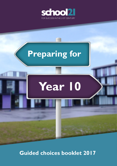

# **Year 10 Preparing for**

**Guided choices booklet 2017**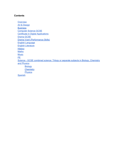### **Contents**

**[Overview](#page-2-0)** Art & [Design](#page-5-0) **Business** [Computer](#page-10-0) Science GCSE [Certificate](#page-12-0) in Digital Applications [Drama](#page-14-0) GCSE Drama Vcert [\(Performance](#page-16-0) Skills) English [Language](#page-18-0) English [Literature](#page-20-0) **[History](#page-22-0) [Maths](#page-24-0) [Music](#page-26-0)** PE Science - GCSE combined science: Trilogy or separate subjects in Biology, [Chemistry](#page-30-2) and [Physics](#page-30-2) **[Biology](#page-30-1) [Chemistry](#page-30-3) [Physics](#page-30-0) [Spanish](#page-35-0)**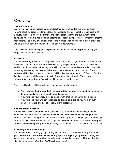# <span id="page-2-0"></span>**Overview**

### **The story so far….**

We have achieved an incredible amount together since we started this journey. From naming coaching groups, to Ignites (passion, expertise and political!) From Exhibitions of Beautiful Work to Battle of the Bands; and from rigorous learning to our human rights campaigning. We have had inspiring assemblies, speakers, trips, visitors, immersive theatre productions. Too many brilliant experiences to mention. You have risen to every challenge we have thrown at you. Now, together, we begin a new journey.

Year 10 is about deepening your **expertise**, finding new reserves of **grit** and taking your project work into the real world.

### **Expertise**

You will be taking at least 8 GCSE qualifications. As a result of government reforms most of these are compulsory. All students will be studying English, Maths, at least two Sciences and History. Most students heading for top Universities will be studying Spanish (as this is what they are asking for). Inside this booklet is information about each subject. Some subjects will involve coursework, but most will involve exams at the end of Year 11. For the first time all exams will be graded 9-1 with 9 being the highest grade. These exams are considerably harder than before with additional content and stretch.

These qualifications will be challenging, but you are well prepared:

- You will need the **independent working habits** you have developed during projects to meet deadlines and research around subjects.
- You will need your **oracy** skills to grapple with problems in Maths and Science.
- You will need your **English language and reading skills** as you work on 19th century literature and decipher tricky exam questions

### **Grit and professionalism**

Your levels of grit will determine your success. If you work hard in every lesson, do all homework and revise well in advance of exams, you will achieve amazing things. You will need to show even more grit next year as the school day is going to be longer. On Tuesdays and Thursdays school will end at 4:20. Night club will be more focused on levels of progress and will become compulsory where necessary. There may also be some work before school.

### **Coaching time and well-being**

You will remain in coaching groups during Year 10 and 11. This is a time for you to work on your resilience and well-being, as well as engage in whole year group events. During the year you will take part in a resilience challenge as part of Adventure 21. This may involve climbing a mountain. After that, GCSEs will seem easy!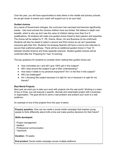Over the year, you will have opportunities to lead others in the middle and primary schools. As we get closer to exams your coach will support you to do your best.

### **Guided choices**

As a result of Government changes, the curriculum has narrowed and become significantly harder. Like most schools the choices children have are limited. We believe in depth over breadth, which is why we don't see the value of children taking more than 8 or 9 qualifications. All students will make one guided choice linked to their passion and expertise. The choice will be related to IT, PE, Drama, Music, Art and Business (to be confirmed). Students will also be asked to select a second and third choice as we can't guarantee everyone gets their first. Students not studying Spanish will have a one-to-one interview to secure their preferred pathway. There will be an additional guided choice in Year 10 between Double Science and three separate sciences. Student guided choices will be confirmed after the 'Preparing for Year 10 evening'.

The key questions for students to consider when making their guided choice are:

- How committed am I and will I give 100% grit in this subject?
- Will I read around the subject to get a fuller understanding?
- How does it relate to my personal enjoyment? Am I in the flow in this subject?
- Will I be challenged?
- Am I choosing this subject because it is right for me or because it is right for my friends?

### **Real World Projects**

Next year we want you to take your work with projects into the real world. Working in a team of two or three, you will execute a specific, discrete and meaningful project with a business or organisation. The goal will be to solve a real problem and present your work to a real audience.

An example of one of the projects from this year is below:

**Enquiry question:** How can we create a social media campaign that inspires young people to think differently about knife crime and make positive decisions for their future?

### **Skills developed:**

- **-** Project management
- Ideation
- Professional communication
- Teamwork

**Duration:** 18 weeks

**End product:** Social media campaign across multiple platforms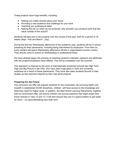These projects have huge benefits, including:

- Helping you make choices about your future
- Providing a new audience and challenge for your work
- Teaching you professional skills
- Raising the bar on what can be achieved: why shouldn't you produce work that has value outside of the school?

Students will take part in two projects over the course of the year, both for a period of 18 weeks (Sept - Feb and March - July).

During the first two Wednesday afternoons of the academic year, students will be in school preparing for their placements, including being interviewed by employers. From then on, every student will spend Wednesday afternoons off-site in organisations across London. They should come to school on Wednesdays in professional dress.

We have already begun the process of matching student's interests, passions and attributes with the projects employers have offered. This will be completed over the summer.

This approach is inspired by the work of internationally acclaimed schools like High Tech High and Big Picture in the USA, who have seen huge gains in work and university readiness as a result of these placements. They have also seen students flourish in their studies as they become inspired by their real world projects.

### **Preparing For the Future**

The curriculum we offer will prepare students for top universities. By pursuing depth over breadth in established GCSE disciplines, children will have access to the knowledge and skills they need for higher study. In addition, the Real World Learning Placements, together with our enrichment offer, will ensure children can pursue passions that might shape their future choices in Year 12 and 13. It will also ensure they are in a good position to get ready for Six21 - our groundbreaking new sixth form.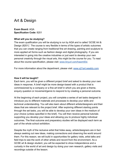# <span id="page-5-0"></span>Art & Design

**Exam Board:** AQA **Specification Code:** 8201

### **What will you be studying?**

The exam qualification you will be studying is run by AQA and is called 'GCSE Art & Design (8201)'. The course is very flexible in terms of the types of artistic outcomes that you can create ranging from traditional fine art drawing, painting and sculpture to more applied art forms such as fashion design and digital photography. If you are interested in going into the creative industries or just want to develop your own personal creativity through the visual arts, this might be the course for you. To read about the course specification, please visit: [www.tinyurl.com/hawm93x](http://www.tinyurl.com/hawm93x)

For more information about the department, please visit: [www.s21art.weebly.com](http://www.s21art.weebly.com/)

### **How it will be taught?**

Each term, you will be given a different project brief and asked to develop your own ideas in response. A brief might be more design-based with a product that is commissioned by a company or a fine art brief in which you are given a theme, enquiry question or movement/genre to respond to by creating a personal outcome.

At the beginning of each project, you will complete a series of set tasks designed to introduce you to different materials and processes to develop your skills and technical understanding. You will also learn about different artists/designers and their ideas that are relevant to the project brief. After exploring different starting points through the set tasks, you will be able to develop your own ideas in the medium of your choice (unless specified in the brief). You will then receive personal tutorials supporting you develop your ideas and allowing you to produce highly individual outcomes. The final outcome and preparatory studies will be displayed each term as part of the whole school exhibition.

Despite the myth of the reclusive artist that hides away, artists/designers are in fact always seeking out new ideas, making connections and observing the world around them. For this reason, we will build in opportunities for gallery visits, artist talks and field trips to see the work of other artists and record from the environment. As a GCSE art & design student, you will be expected to show independence and a curiosity in the world of art and design by doing your own research, gallery visits and recordings outside of the lesson.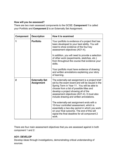### **How will you be assessed?**

There are two main assessed components to the GCSE: **Component 1** is called your Portfolio and **Component 2** is an Externally Set Assignment.

| <b>Component</b> | <b>Description</b>                         | How it is examined                                                                                                                                                                                                                                                                                                                                                                                                                                                                                                                                                                    |
|------------------|--------------------------------------------|---------------------------------------------------------------------------------------------------------------------------------------------------------------------------------------------------------------------------------------------------------------------------------------------------------------------------------------------------------------------------------------------------------------------------------------------------------------------------------------------------------------------------------------------------------------------------------------|
| 1                | <b>Portfolio</b>                           | Your portfolio is evidence of a project that has<br>been developed to your best ability. You will<br>need to show evidence of the four key<br>assessment objectives (AO1-4).<br>In addition, you will need to provide a selection<br>of other work (experiments, sketches, etc.)<br>from throughout the course that evidence your<br>skills.<br>Your portfolio must have evidence of drawing<br>and written annotations explaining your story<br>of learning.                                                                                                                         |
| $\mathbf 2$      | <b>Externally Set</b><br><b>Assignment</b> | The externally-set assignment is a project brief<br>set by the exam board and will be issued in the<br>Spring Term in Year 11. You will be able to<br>choose from a list of possible titles and<br>develop a project showing all of the<br>assessment objectives (AO1-4). It must also<br>include drawing and written annotations.<br>The externally-set assignment ends with a<br>10-hour controlled assessment, which is<br>essentially a two-day period in which you work<br>on your final outcome. The end of this will<br>signal the final deadline for all component 2<br>work. |

There are four main assessment objectives that you are assessed against in both component 1 and 2:

# **AO1: DEVELOP**

Develop ideas through investigations, demonstrating critical understanding of sources.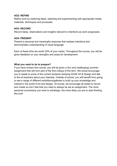### **AO2: REFINE**

Refine work by exploring ideas, selecting and experimenting with appropriate media, materials, techniques and processes.

### **AO3: RECORD**

Record ideas, observations and insights relevant to intentions as work progresses.

### **AO4: PRESENT**

Present a personal and meaningful response that realises intentions and demonstrates understanding of visual language

Each of these AOs are worth 25% of your marks. Throughout the course, you will be given feedback on your strengths and areas for development.

### **What you need to do to prepare?**

If you have chosen this course, you will be given a (fun and challenging) summer assignment that will form part of the first critique of the term. We would encourage you to speak to some of the current students studying GCSE Art & Design and talk to the art teachers about your interests. Outside of school, you will benefit from going to see a range of different exhibitions/galleries to build up your knowledge and interest in the world of art and design. Of course, we encourage all artists to record and create so don't feel that you need to always be set an assignment. The more personal connections you have to art/design, the more likely you are to start thinking like one!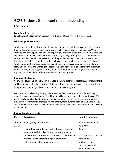# GCSE Business (to be confirmed - depending on numbers)

### **Exam Board:** Edexcel

**Specification Code:** Pearson Edexcel Level 1/Level 2 GCSE (9-1) in Business (1BS0)

### **What will you be studying?**

You'll start by exploring the world of small businesses through the lens of an entrepreneur. How and why do business ideas come about? What makes a successful business? You'll learn how to develop an idea, spot an opportunity and turn it into a successful business. You will understand how to make a business effective, manage money and see how the world around us affects small businesses and all the people involved. Then you'll move on to investigating business growth. How does a business develop beyond the start-up phase? You'll learn about key business concepts and issues and decisions you need to make when growing a business and working in a global business. You'll learn about meeting customer needs, making marketing, operational, financial and human resourcing decisions and you'll explore how the wider world impacts the business as it grows.

### **How it will be taught**

You will be taught using a range of methods including teacher led lessons, socratic seminars and harkness debates. For Component 3 (see below), you will be given a brief and will work independently to design, develop and test a computer program.

We contextualise learning through the use of real life situations and problem solving scenarios to ensure you develop the skills you will need in a real business workplace. We work closely with local and national employers and universities to ensure our provision prepares our learners for progression into employment, further training or university. You will also be introduced to a range of exam skills that will give you the confidence to succeed in your GCSEs.

| Unit             | <b>Description</b>                                                                                                                                                                                                                                                                                  | How it is examined                                                                                                                                       |
|------------------|-----------------------------------------------------------------------------------------------------------------------------------------------------------------------------------------------------------------------------------------------------------------------------------------------------|----------------------------------------------------------------------------------------------------------------------------------------------------------|
| Theme<br>1 (50%) | <b>Investigating Small Business</b><br>Theme 1 concentrates on the key business concepts,<br>issues and skills involved in starting and running a<br>small business. It provides a framework for students to<br>explore core concepts through the lens of an<br>entrepreneur setting up a business. | Written examination:<br>90 minutes<br>90 marks<br>The paper will consist of<br>calculations,<br>multiple-choice,<br>short-answer and<br>extended-writing |

### **How will you be assessed?**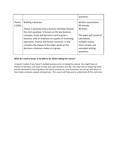|                 |                                                                                                                                                                                                                                                       | questions.                                                                                                           |
|-----------------|-------------------------------------------------------------------------------------------------------------------------------------------------------------------------------------------------------------------------------------------------------|----------------------------------------------------------------------------------------------------------------------|
| Theme<br>2(50%) | <b>Building a Business</b><br>Theme 2 examines how a business develops beyond<br>the start-up phase. It focuses on the key business                                                                                                                   | Written examination:<br>90 minutes<br>90 marks                                                                       |
|                 | concepts, issues and decisions used to grow a<br>business, with an emphasis on aspects of marketing,<br>operations, finance and human resources. It also<br>considers the impact of the wider world on the<br>decisions a business makes as it grows. | The paper will consist of<br>calculations,<br>multiple-choice,<br>short-answer and<br>extended-writing<br>questions. |

### **What do I need to know, or be able to do, before taking this course?**

It doesn't matter if you haven't studied business prior to taking this course. You might have an interest in business, and want to start your own business one day. You may have an enquiring mind and be interested in learning about the world around you, how businesses are set up, and what it is that makes someone a great entrepreneur. This course will help you to understand all this and more.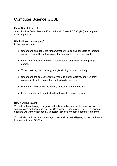# <span id="page-10-0"></span>Computer Science GCSE

### **Exam Board:** Edexcel

**Specification Code:** Pearson Edexcel Level 1/Level 2 GCSE (9-1) in Computer Science (1CP1)

### **What will you be studying?**

In this course you will

- Understand and apply the fundamental principles and concepts of computer science. You will learn how computers work at the most basic level.
- Learn how to design, write and test computer programs including simple games.
- Think creatively, innovatively, analytically, logically and critically
- Understand the components that make up digital systems, and how they communicate with one another and with other systems
- Understand how digital technology affects us and our society.
- Learn to apply mathematical skills relevant to computer science.

### **How it will be taught**

You will be taught using a range of methods including teacher led lessons, socratic seminars and harkness debates. For Component 3 (see below), you will be given a brief and will work independently to design, develop and test a computer program.

You will also be introduced to a range of exam skills that will give you the confidence to succeed in your GCSEs.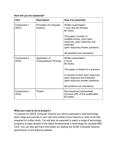### **How will you be assessed?**

| Unit                 | <b>Description</b>                              | How it is examined                                                                                                                                                                                                        |
|----------------------|-------------------------------------------------|---------------------------------------------------------------------------------------------------------------------------------------------------------------------------------------------------------------------------|
| Component 1<br>(40%) | <b>Principles of Computer</b><br>Science        | Written examination:<br>1 hour and 40 minutes<br>80 marks                                                                                                                                                                 |
|                      |                                                 | This paper consists of<br>multiple-choice, short open<br>response, open response and<br>extended<br>open response answer questions.<br>All questions are mandatory.                                                       |
| Component 2<br>(40%  | Application of<br><b>Computational Thinking</b> | Written examination:<br>2 hours<br>80 marks<br>This paper is based on a scenario.<br>It consists of short open response,<br>open response and extended<br>open-response answer questions.<br>All questions are mandatory. |
| Component 3<br>(20%) | Project                                         | Non-examined assessment:<br>20 hours 20% of the qualification<br>60 marks                                                                                                                                                 |

# **What you need to do to prepare?**

To prepare for GSCE Computer Science you will be expected to read technology texts, blogs and journals in your own time ahead of your lessons in order to be fully prepared for further study. You will also be expected to watch a range of technology programs to keep abreast of the latest developments in technology for example BBC Click. You can also get more information by reading the GCSE Computer Science specification on the Edexcel website.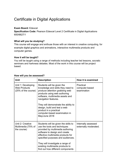# <span id="page-12-0"></span>Certificate in Digital Applications

### **Exam Board:** Edexcel

**Specification Code:** Pearson Edexcel Level 2 Certificate in Digital Applications 600/6627/1

### **What will you be studying?**

This course will engage and enthuse those with an interest in creative computing, for example digital graphics and animations, interactive multimedia products and computer games.

### **How it will be taught?**

You will be taught using a range of methods including teacher led lessons, socratic seminars and harkness debates. Most of the work in this course will be project based.

| Unit                                                             | <b>Description</b>                                                                                                                                                                                                                                                                                                                               | How it is examined                           |
|------------------------------------------------------------------|--------------------------------------------------------------------------------------------------------------------------------------------------------------------------------------------------------------------------------------------------------------------------------------------------------------------------------------------------|----------------------------------------------|
| Unit 1: Developing<br><b>Web Products</b><br>(25% of the course) | Students will be given the<br>knowledge and skills they need to<br>produce attention grabbing web<br>products using web authoring<br>software, multimedia assets and<br>navigation features.<br>They will demonstrate the ability to<br>design, build and test a web<br>product in a practical<br>computer-based examination in<br>May/June 2018 | Practical<br>computer-based<br>examination   |
| Unit 2: Creative<br>Multimedia (75% of<br>the course)            | Students will be given the skills to<br>use the tools and techniques<br>provided by multimedia authoring<br>software to design and create<br>effective multimedia products for<br>specified purposes and audiences.<br>They will investigate a range of<br>existing multimedia products to<br>find out how different components                  | Internally assessed<br>externally moderated. |

### **How will you be assessed?**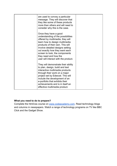| are used to convey a particular<br>message. They will discover that<br>they like some of these products<br>more than others and will need to<br>consider why this is the case.                                                                                                                                                                 |  |
|------------------------------------------------------------------------------------------------------------------------------------------------------------------------------------------------------------------------------------------------------------------------------------------------------------------------------------------------|--|
| Once they have a good<br>understanding of the possibilities<br>offered by multimedia, they will<br>learn how to design multimedia<br>products of their own. This will<br>involve detailed designs setting<br>out exactly how they want each<br>screen to look, the components<br>they need and how the<br>user will interact with the product. |  |
| They will demonstrate their ability<br>to plan, design, build and test<br>interactive multimedia products<br>through their work on a major<br>project set by Edexcel. This will<br>include the development of an<br>e-portfolio that exhibits their<br>achievements and is in itself an<br>effective multimedia product.                       |  |

Complete the html/css course on [www.codeacademy.com.](http://www.codeacademy.com/) Read technology blogs and columns in newspapers. Watch a range of technology programs on TV like BBC Click and the Gadget Show.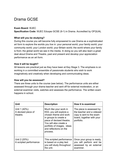# <span id="page-14-0"></span>Drama GCSE

### **Exam Board:** WJEC

**Specification Code:** WJEC Eduqas GCSE (9-1) in Drama. Accredited by OFQUAL

### **What will you be studying?**

During this course you will become fully empowered to use Drama as a sophisticated art form to explore the worlds you live in: your personal world; your family world; your community world; your London world; your Britain world; the world where your family is from; the global world we see in the media. In doing so you will also learn a great deal about Drama and Theatre, past and present and develop your appreciation performance as an art form.

### **How it will be taught?**

All lessons are practical just as they have been at Key Stage 3. The emphasis is on working in a committed ensemble of passionate students who wish to work imaginatively and creatively when developing and communicating ideas.

### **How will you be assessed?**

There are three units to the course (see below). The performance units are either assessed through your drama teacher and sent off for external moderation, or an external examiner visits, watches and assesses the performance. The written exam happens in school.

| <b>Unit</b>                                     | <b>Description</b>                                                                                                                                                                                                             | How it is examined                                                                                                           |
|-------------------------------------------------|--------------------------------------------------------------------------------------------------------------------------------------------------------------------------------------------------------------------------------|------------------------------------------------------------------------------------------------------------------------------|
| Unit 1 (40%):<br>A devised piece of<br>theatre. | Much like your work in<br>KS3, you will explore a<br>chosen theme and work<br>in groups to create a<br>piece of devised theatre.<br>You will also create a<br>portfolio of images, ideas<br>and reflections on the<br>process. | The piece is assessed by<br>the teacher and a videoed<br>copy is sent to the exam<br>board, together with your<br>portfolio. |
| Unit 2 (20%):<br>A scripted performance         | This scripted performance<br>is based on a play text<br>you will study throughout<br>the unit.                                                                                                                                 | Once your group is ready,<br>you will perform and be<br>assessed by an external<br>examiner.                                 |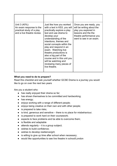| Unit 3 (40%):<br>An exam response to the<br>practical study of a play<br>and a live theatre review. | Just like how you worked<br>with a text in KS3, you will<br>practically explore a play<br>text and use drama to<br>develop your<br>understanding of the<br>intentions, themes and<br>social concepts within the<br>play and respond in an<br>exam. Watching live<br>theatre productions is<br>also a big part of the<br>course and in this unit you<br>will be watching and<br>reviewing many pieces of<br>live theatre. | Once you are ready, you<br>will be writing about the<br>play you explored in<br>lessons and the the<br>theatre performance you<br>went to see in an exam. |
|-----------------------------------------------------------------------------------------------------|--------------------------------------------------------------------------------------------------------------------------------------------------------------------------------------------------------------------------------------------------------------------------------------------------------------------------------------------------------------------------------------------------------------------------|-----------------------------------------------------------------------------------------------------------------------------------------------------------|

Read this checklist and ask yourself whether GCSE Drama is a journey you would like to go on over the next two years

Are you a student who:

- has really enjoyed their drama so far;
- has shown themselves to be committed and hardworking;
- has energy;
- enjoys working with a range of different people;
- enjoys being creative on their own and with other people;
- is prepared to take risks;
- is kind, generous and sensitive there is no place for misbehaviour;
- is prepared to work hard on their coursework;
- expects to face problems and be able to overcome them;
- is flexible and adaptable
- $\bullet$  attends regularly  $-$  it is a group subject;
- wishes to build confidence;
- wishes to develop resilience/grit;
- is willing to give up time after school when necessary;
- would like opportunities to see live theatre in school/London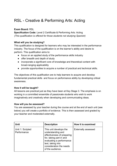# <span id="page-16-0"></span>RSL - Creative & Performing Arts: Acting

# **Exam Board:** RSL

**Specification Code:** Level 2 Certificate & Performing Arts: Acting *(This qualification is offered for those students not studying Spanish)*

### **What will you be studying?**

This qualification is designed for learners who may be interested in the performance industry. The focus of the qualification is on the learner's ability and desire to perform. This qualification aims to:

- focus on an applied study of the performance skills industry
- offer breadth and depth of study
- incorporate a significant core of knowledge and theoretical content with broad-ranging applicability
- provide opportunities to acquire a number of practical and technical skills.

The objectives of this qualification are to help learners to acquire and develop fundamental practical skills and focus on performance ability by developing critical awareness.

### **How it will be taught?**

All lessons are practical just as they have been at Key Stage 3. The emphasis is on working in a committed ensemble of passionate students who wish to work imaginatively and creatively when developing and communicating ideas.

### **How will you be assessed?**

You are assessed by your teacher during the course and at the end of each unit (see below) you will create a portfolio of evidence. This is then assessed and graded by your teacher and moderated externally.

| <b>Unit</b>                     | <b>Description</b>                                                                                                                                                                                   | How it is examined         |
|---------------------------------|------------------------------------------------------------------------------------------------------------------------------------------------------------------------------------------------------|----------------------------|
| Unit 1: Scripted<br>Performance | This unit develops the<br>understanding and<br>effectiveness of preparing<br>for, taking part in and<br>evaluating a performance<br>text, taking into<br>consideration the needs<br>of the audience. | <b>Externally assessed</b> |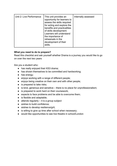| for acting and explore the<br>benefits and practicalities<br>of skills development.<br>Learners will understand<br>the importance of<br>rehearsals in the<br>development of their<br>skills. |  |
|----------------------------------------------------------------------------------------------------------------------------------------------------------------------------------------------|--|
|----------------------------------------------------------------------------------------------------------------------------------------------------------------------------------------------|--|

Read this checklist and ask yourself whether Drama is a journey you would like to go on over the next two years

Are you a student who:

- has really enjoyed their KS3 drama;
- has shown themselves to be committed and hardworking;
- has energy;
- enjoys working with a range of different people;
- enjoys being creative on their own and with other people;
- is prepared to take risks;
- is kind, generous and sensitive there is no place for unprofessionalism;
- is prepared to work hard on their coursework;
- expects to face problems and be able to overcome them;
- is flexible and adaptable;
- $\bullet$  attends regularly  $-$  it is a group subject
- wishes to build confidence;
- wishes to develop resilience/grit;
- is willing to give up time after school when necessary;
- would like opportunities to see live theatre in school/London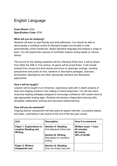# <span id="page-18-0"></span>English Language

**Exam Board:** AQA **Specification Code:** 8700

### **What will you be studying?**

Students will learn to read fluently and write effectively. You should be able to demonstrate a confident control of Standard English and be able to write grammatically correct sentences, deploy figurative language and analyse a range of texts. You will explore the nuances of controlled creative writing based on various stimuli.

The source for the reading questions will be a literature fiction text. It will be drawn from either the 20th or 21st century. Its genre will be prose fiction. It will include extracts from novels and short stories and focus on openings, endings, narrative perspectives and points of view, narrative or descriptive passages, character, atmospheric descriptions and other appropriate narrative and descriptive approaches.

### **How it will be taught?**

Lessons will be taught in an immersive, exploratory style with in-depth analysis of texts and ongoing practice in the crafting of critical responses. You will also learn reciprocal reading strategies designed to encourage confidence with unseen texts at age appropriate reading ages. Students will develop independent learning skills alongside collaborative working and discussion based learning.

### **How will you be assessed?**

Ongoing teacher assessment will take place at regular intervals, via practice papers and tasks, culminating in two exams at the end of the two-year course.

| <b>Unit</b>                                                 | <b>Description</b>                                                                                                           | How it is examined                                            |
|-------------------------------------------------------------|------------------------------------------------------------------------------------------------------------------------------|---------------------------------------------------------------|
| Paper 1: Explorations in<br>creative Reading and<br>Writing | <b>Section A: Reading</b><br>One literature fiction text<br><b>Section B: Writing</b><br>Descriptive or narrative<br>writing | Written exam: 1 hour<br>45 minutes<br>80 marks<br>50% of GCSE |
| Paper 2: Writers'<br><b>Viewpoints and</b>                  | <b>Section A: Reading</b><br>One non-fiction text and                                                                        |                                                               |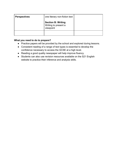| <b>Perspectives</b> | one literary non-fiction text                                  |  |
|---------------------|----------------------------------------------------------------|--|
|                     | <b>Section B: Writing</b><br>Writing to present a<br>viewpoint |  |
|                     |                                                                |  |

- Practice papers will be provided by the school and explored during lessons.
- Consistent reading of a range of text types is essential to develop the confidence necessary to access the GCSE at a high level.
- Reading a good quality newspaper will help improve fluency.
- Students can also use revision resources available on the S21 English website to practice their inference and analysis skills.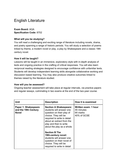# <span id="page-20-0"></span>English Literature

**Exam Board:** AQA **Specification Code:** 8702

### **What will you be studying?**

You will read a challenging and exciting range of literature including novels, drama, and poetry spanning a range of historic periods. You will study a selection of poems linked by theme, a modern novel or play, a play by Shakespeare and a classic 19th century novel.

### **How it will be taught?**

Lessons will be taught in an immersive, exploratory style with in-depth analysis of texts and ongoing practice in the crafting of critical responses. You will also learn reciprocal reading strategies designed to encourage confidence with unfamiliar texts. Students will develop independent learning skills alongside collaborative working and discussion based learning. You may also produce creative outcomes linked to themes raised by the literature studied.

### **How will you be assessed?**

Ongoing teacher assessment will take place at regular intervals, via practice papers and regular essays, culminating in two exams at the end of the two-year course.

| <b>Unit</b>                                                  | <b>Description</b>                                                                                                                                                                                                                 | How it is examined                                            |
|--------------------------------------------------------------|------------------------------------------------------------------------------------------------------------------------------------------------------------------------------------------------------------------------------------|---------------------------------------------------------------|
| Paper 1: Shakespeare<br>and the 19th Century<br><b>Novel</b> | <b>Section A Shakespeare:</b><br>students will answer one<br>question on their play of<br>choice. They will be<br>required to write in detail<br>about an extract from the<br>play and then to write<br>about the play as a whole. | Written exam: 1 hour<br>45 minutes<br>64 marks<br>40% of GCSE |
|                                                              | <b>Section B The</b><br>19th-century novel:<br>students will answer one<br>question on their novel of<br>choice. They will be<br>required to write in detail                                                                       |                                                               |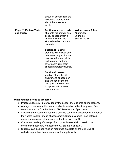|                                            | about an extract from the<br>novel and then to write<br>about the novel as a<br>whole.                                                                                                  |                                                               |
|--------------------------------------------|-----------------------------------------------------------------------------------------------------------------------------------------------------------------------------------------|---------------------------------------------------------------|
| <b>Paper 2: Modern Texts</b><br>and Poetry | <b>Section A Modern texts:</b><br>students will answer one<br>essay question from a<br>choice of two on their<br>studied modern prose or<br>drama text.                                 | Written exam: 2 hour<br>15 minutes<br>96 marks<br>60% of GCSE |
|                                            | <b>Section B Poetry:</b><br>students will answer one<br>comparative question on<br>one named poem printed<br>on the paper and one<br>other poem from their<br>chosen anthology cluster. |                                                               |
|                                            | <b>Section C Unseen</b><br>poetry: Students will<br>answer one question on<br>one unseen poem and<br>one question comparing<br>this poem with a second<br>unseen poem.                  |                                                               |

- Practice papers will be provided by the school and explored during lessons.
- A range of revision guides are available in most good bookshops and free resources can be found online, at BBC Bitesize and Spark Notes.
- Students are expected to read and analyse set texts independently and revise their notes in detail ahead of assessment. Students should keep detailed notes and create revision resources for their own benefit.
- Consistent reading of a range of text types is essential to develop the confidence necessary to access the GCSE at a high level.
- Students can also use revision resources available on the S21 English website to practice their inference and analysis skills.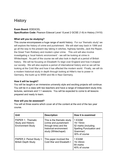# <span id="page-22-0"></span>**History**

### **Exam Board:** EDEXCEL

**Specification Code:** Pearson Edexcel Level 1/Level 2 GCSE (1-9) in History (1H10)

### **What will you be studying?**

This course encompasses a huge range of world history. For our 'thematic study' we will explore the history of crime and punishment. We will start way back in 1066 and go all the way to the present day taking in witches, highway bandits, Jack the Ripper, the Great Train Robbery and modern cyber crime. This unit will also involve investigating a 'local historic environment' - we will be looking at crime in Whitechapel. As part of the course we will also look in depth at a period of British history. We will be focusing on Elizabeth I's reign over England and how it shaped our society. We will also explore a period of international history and so we will be looking at the Cold War and how it has affected the modern world. Finally, we will do a modern historical study in depth through looking at Hitler's rise to power in Germany, the build up to WWII and life in Nazi Germany.

### **How it will be taught?**

You will be taught in an immersive university style and exciting projects will continue. You will be in a class with two teachers and have a range of independent study time, lectures, seminars and 1:1 sessions. You will be expected to come to all lessons prepared and ready to learn.

### **How will you be assessed?**

You will sit three exams which cover all of the content at the end of the two year course.

| <b>Unit</b>                                                                | <b>Description</b>                                                                                                            | How it is examined                                                                                  |
|----------------------------------------------------------------------------|-------------------------------------------------------------------------------------------------------------------------------|-----------------------------------------------------------------------------------------------------|
| PAPER 1: Thematic<br><b>Study and Historic</b><br><b>Environment Study</b> | This is the thematic study<br>(crime and punishment<br>through time) and the<br>historical environment<br>study (Whitechapel) | 1 EXAM<br>1hr 15min<br>52 marks (including<br>Spelling Punctuation and<br>Grammar)<br>30% of course |
| PAPER 2: Period Study +<br><b>British Depth Study</b>                      | This paper involved the<br>Cold War and Elizabeth I                                                                           | 1 EXAM<br>1hr 45min<br>64 marks<br>40% of course                                                    |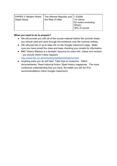| PAPER 3: Modern World<br>Depth Study | The Weimar Republic and   1 EXAM<br>the Rise of Hitler | 1hr 20min<br>52 marks (including<br>  SPaG)<br>30% of course |
|--------------------------------------|--------------------------------------------------------|--------------------------------------------------------------|
|--------------------------------------|--------------------------------------------------------|--------------------------------------------------------------|

- We will provide you with all of the course material before the summer break you should read and work through the workbook over the summer holiday.
- We will post lots of up-to-date info on the Google Classroom page. Make sure you have joined the class and keep checking your emails for information.
- BBC History Bitesize is a fantastic resource for extra info, videos and revision - you should check it fairly regularly. <http://www.bbc.co.uk/schools/gcsebitesize/history/mwh/>
- Anything extra you do will help! Take trips to museums. Watch documentaries. Read historical fiction. Read history magazines. The more contextual understanding that you have, the better you will do! (For recommendations check Google Classroom).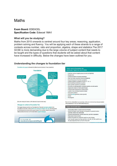# <span id="page-24-0"></span>**Maths**

### **Exam Board:** EDEXCEL **Specification Code:** Edexcel 1MA1

### **What will you be studying?**

Maths from 2015 onwards is centred around four key areas; reasoning, application, problem solving and fluency. You will be applying each of these strands to a range of contexts across number, ratio and proportion, algebra, shape and statistics.The 2017 GCSE is more demanding due to the large volume of subject content that needs to be taught and the types of questions that students will be asked about that content have increased in difficulty. Below the changes have been outlined for you.



# **Understanding the changes to foundation tier**

fit's worth noting that there's a ±3% tolerance for each domain area.)

### **Changes to content at Foundation Tier**

The biggest change to content is at Foundation tier. There are new topics added to the Foundation tier for 2015, which in 2010 were assessed at Higher tier only. The list opposite is not exhaustive but includes all the major changes. Full, annotated tables for this and the following lists can be found on the GCSE Maths supp



### Topics new to Foundation tier (previously Higher tier only in 2010) . Index laws: zero and negative powers (numeric and algebraic) · Standard form • Compound interest and reverse percentages · Direct and indirect proportion (numeric and algebraic) · Expand the product of two linear expressions • Factorise quadratic expressions in the form  $x^2 + bx + c$ · Solve linear/linear simultaneous equations · Solve quadratic equations by factorisation

- · Plot cubic and reciprocal graphs, recognise quadratic and cubic graphs
- · Trigonometric ratios in 2D right-angled triangles
- · Fractional scale enlargements in transformations
- . Lengths of arcs and areas of sectors of circles
- · Mensuration problems
- · Vectors (except geometric problems/proofs)
- Density
- Tree diagrams

For both tiers, there will be new knowledge, skills and understanding that your students will be assessed on in the new GCSE Mathematics (9-1).

### Topics new to both tiers

- . Use inequality notation to specify simple error intervals
- · Identify and interpret roots, intercepts, turning points of quadratic functions graphically; deduce roots algebraically
- · Fibonacci type sequences, quadratic sequences, geometric progressions · Relate ratios to linear functions
- . Interpret the gradient of a straight line graph as a rate of change
- Know the exact values of sin  $\theta$  and cos  $\theta$  for  $\theta = 0^{\circ}$ , 30°, 45°, 60° and 90°; know the exact value of tan  $\theta$  for  $\theta = 0^{\circ}$ , 30°, 45° and 60'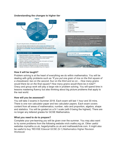### **Understanding the changes to higher tier**



### **How it will be taught?**

Problem solving is at the heart of everything we do within mathematics. You will be dealing with gritty problems such as *"If you put one grain of rice on the first square of a chessboard, two on the second, four on the third and so on… How many grains would there be on the final square? How many grains would there be in total?".* Oracy and group work will play a large role in problem solving. You will spend time in lessons mastering fluency but also thinking about big picture problems that apply to the real world.

### **How will you be assessed?**

You will take 3 exams in Summer 2018. Each exam will last 1 hour and 30 mins. There is one non calculator paper and two calculator papers. Each exam covers content from all areas of mathematics; number, ratio and proportion, algebra, shape and statistics. You will be graded on a 9-1 scale (with 9 being the highest). There are no longer any lettered grades for GCSE Mathematics.

### **What you need to do to prepare?**

Complete your pre-learning you will be given over the summer. You may also want to try some problems from the following website nrich.maths.org.uk. Other useful websites mymaths.co.uk, hegartymaths.co.uk and mathswatchvle.com. It might also be useful to buy 'REVISE Edexcel GCSE (9-1) Mathematics Higher Revision Workbook'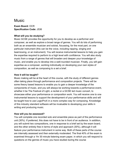# <span id="page-26-0"></span>**Music**

**Exam Board:** OCR **Specification Code:** J536

### **What will you be studying?**

Music GCSE provides the opportunity for you to develop as a performer and composer, as well as explore a broad range of genres. You will do lots of performing both as an ensemble musician and soloist, focussing, for the most part, on one particular instrument (this can be the voice, including rapping, singing and beat-boxing, or an instrument). You will receive instrumental lessons to help you gain the expertise required to perform to a high level with confidence. You will also study music from a range of genres that will broaden and deepen your knowledge of music, and enable you to develop into a well-rounded musician. Finally, you will gain expertise as a composer, working individually on developing your own styles of composition, as well as composing to a set a brief.

### **How it will be taught?**

Music making will be at the heart of this course, with the study of different genres often taking place through performance and composition projects. There will be some theory based lessons to enable you to gain a deeper knowledge of the components of music, and you will always be working towards a performance event, whether it be The Festival of Light, a recital or a GCSE led music concert, to showcase either your performance or composition work. You will receive one to one instrumental lessons to support the development of your performance skills and will be taught how to use LogicProX in a more complex way for composing. Knowledge of this industry standard software will be invaluable to developing your skills in writing and producing music.

### **How will you be assessed?**

You will complete one recorded solo and ensemble piece as part of the performance unit (30%). If preferred, this does not have to be in front of an audience. In addition, you will submit two compositions, one in response to a brief set by the exam board, and the other entirely free in terms of style and approach (30%), although it will feature your performance instrument in some way. Both of these parts of the course are internally assessed and then externally moderated. The final 40% of the exam is examined through a 1hr 30 minute listening exam paper, in which you will respond to questions on the genres of music you have studied during the course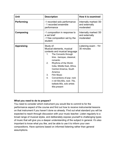| <b>Unit</b>       | <b>Description</b>                                                                                                                                                                                                                                                                                                                                                                      | How it is examined                                   |
|-------------------|-----------------------------------------------------------------------------------------------------------------------------------------------------------------------------------------------------------------------------------------------------------------------------------------------------------------------------------------------------------------------------------------|------------------------------------------------------|
| Performing        | -1 recorded solo performance<br>- 1 recorded ensemble<br>performance                                                                                                                                                                                                                                                                                                                    | Internally marked /30<br>and externally<br>moderated |
| <b>Composing</b>  | -1 composition in response to<br>a set brief<br>-1 free composition set by the<br>student                                                                                                                                                                                                                                                                                               | Internally marked /30<br>and externally<br>moderated |
| <b>Appraising</b> | Study of:<br>Musical elements, musical<br>contexts and musical language<br>The Concerto through<br>1.<br>time - baroque, classical,<br>romantic<br>2.<br>Rhythms of the World-<br>India, Middle East, Africa,<br>Central America, South<br>America<br><b>Film Music</b><br>3.<br>4.<br>Conventions of pop-rock<br>n roll 50s-60s, rock-70s,<br>ballads-80s, solo artists<br>90s-present | Listening exam - 1hr<br>30 minutes                   |

You need to consider which instrument you would like to commit to for the performance aspect of the course and find out how to receive instrumental lessons on that instrument if you haven't done so already. Find out what standard you will be expected to reach through discussion with your music teacher. Listen regularly to a broad range of musical styles, and deliberately expose yourself to challenging types of music that will give you a deeper understanding of the subject in general. It's also important to know what you like, and be able to use it to inform your own compositions. Have opinions based on informed listening rather than general assumptions.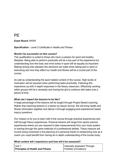# **PF**

### **Exam Board:** NFER

**Specification** - Level 2 Certificate in Health and Fitness

### **Would I be successful on this course?**

This qualification is suited to those who have a passion for sport and healthy lifestyles. Being able to perform practically will be a key part of the experience but understanding how the body and mind works in sport will be equally as important. Making strong links between the decisions we make when taking part in sport or exercising and how they affect our health and fitness will be a crucial part of the course.

As well as understanding the sport related content of the course. High levels of motivation will be required when performing tasks practically. Following this experience up with in depth responses in the theory classroom. Effectively working within groups will be a necessity and having the grit to continue with tasks over a period of time.

### **What can I expect the lessons to be like?**

A large percentage of the lessons will be taught through Project Based Learning. Rather than teaching lessons in a lesson by lesson format. We will bring health and fitness information together and deliver it through engaging and experienced based inquiry questions.

Our mission is for you to learn half of the course through practical experiences and half through theory experiences. Practical lessons will range from sports science experiences where you are required to take measurements from your body system to training through the same methods of a professional athlete. Theory lessons will involve being immersed in the planning of a personal trainer to researching how as a coach you could benefit from having an in depth understanding of the human body.

### **What content will I experience and how will it be assessed?**

| I Unit 1                                | Internally Assessed Through |
|-----------------------------------------|-----------------------------|
| <b>Principles of Health and Fitness</b> | Portfolio of Evidence       |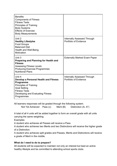| <b>Benefits</b><br><b>Components of Fitness</b><br><b>Fitness Tests</b><br><b>Principles of Training</b><br><b>Body Systems</b><br><b>Effects of Exercise</b><br><b>Body Measurements</b>       |                                                             |
|-------------------------------------------------------------------------------------------------------------------------------------------------------------------------------------------------|-------------------------------------------------------------|
| Unit 2<br><b>Healthy Lifestyles</b><br><b>Food Groups</b><br><b>Balanced Diet</b><br><b>Health and Well-Being</b><br>Motivation                                                                 | <b>Internally Assessed Through</b><br>Portfolio of Evidence |
| Unit 3<br><b>Preparing and Planning for Health and</b><br><b>Fitness</b><br><b>Assessing Fitness Levels</b><br><b>Producing Exercise Programmes</b><br><b>Nutritional Plans</b>                 | <b>Externally Marked Exam Paper</b>                         |
| Unit 4<br>Develop a Personal Health and Fitness<br>Programme<br><b>Principles of Training</b><br><b>Goal Setting</b><br><b>Fitness Tests</b><br>Developing and Evaluating Fitness<br>Programmes | <b>Internally Assessed Through</b><br>Portfolio of Evidence |

All learners responses will be graded through the following system.

Not Yet Achieved Pass (c) Merit (B) Distinction (A- A\*)

A total of all 4 units will be added together to form an overall grade with all units carrying the same weighting.

**Examples** 

A student who achieves all Passes will receive a Pass.

A student who achieves two Merits and two Distinctions will receive the higher grade of a Distinction.

A student who achieves split grades and Passes, Merits and Distinctions will receive a grade of Merit in the middle.

# **What do I need to do to prepare?**

All students will be expected to maintain not only an interest but lead an active healthy lifestyle and be committed to attending school sports clubs.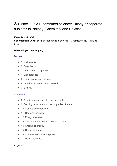# <span id="page-30-2"></span>Science - GCSE combined science: Trilogy or separate subjects in Biology, Chemistry and Physics

### **Exam Board:** AQA

**Specification Code:** 8486 or separate (Biology 8461, Chemistry 8462, Physics 8463)

# **What will you be studying?**

### <span id="page-30-1"></span>**Biology**

- 1. Cell biology
- 2. Organisation
- 3. Infection and response
- 4. Bioenergetics
- 5. Homeostasis and response
- 6. Inheritance, variation and evolution
- 7. Ecology

### <span id="page-30-3"></span>**Chemistry**

- 8. Atomic structure and the periodic table
- 9. Bonding, structure, and the properties of matter
- 10. Quantitative chemistry
- 11. Chemical changes
- 12. Energy changes
- 13. The rate and extent of chemical change
- 14. Organic chemistry
- 15. Chemical analysis
- 16. Chemistry of the atmosphere
- 17. Using resources

### <span id="page-30-0"></span>**Physics**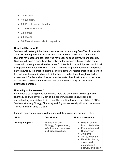- 18. Energy
- 19. Electricity
- 20. Particle model of matter
- 21. Atomic structure
- 22. Forces
- 23. Waves
- 24. Magnetism and electromagnetism

### **How it will be taught?**

Students will be taught the three science subjects separately from Year 9 onwards. They will be taught by at least 2 teachers, and in some cases 3, to ensure that students have access to teachers who have specific specialisms, where possible. Students will have a clear distinction between the science subjects, and in some cases will come together with other areas for interdisciplinary mini-projects which will take place throughout their Year 10 and 11 studies. A great emphasis will be placed on the new required practical element, and students will master practical skills which they will now be examined on in their final exams, rather than through controlled assessment. Students should expect a varied suite of explorative lessons, lectures, lab sessions and research tasks and will be required to carry out extensive examination practise.

### **How will you be assessed?**

For students studying combined science there are six papers: two biology, two chemistry and two physics. Each of the papers will assess knowledge and understanding from distinct topic areas. The combined aware is worth two GCSEs. Students studying Biology, Chemistry and Physics separately will take nine exams. This will be worth three GCSEs

| <b>Unit</b>            | <b>Description</b>                                                                                        | How it is examined                                                                                                                                                                                               |
|------------------------|-----------------------------------------------------------------------------------------------------------|------------------------------------------------------------------------------------------------------------------------------------------------------------------------------------------------------------------|
| <b>Biology paper 1</b> | <b>Topics 1-4: Cell</b><br><b>Biology; Organisation;</b><br>Infection and response;<br>and Bioenergetics. | <b>Written exam: 1</b><br>hour 15 minutes<br><b>Foundation and</b><br>$\bullet$<br><b>Higher Tier</b><br>70 marks<br>16.7% of GCSE<br><b>Multiple choice,</b><br>structured,<br>closed short<br>answer, and open |

Example assessment schedule for students taking combined science: Trilogy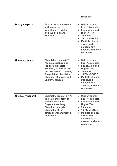|                          |                                                                                                                                                                                                                                        | response.                                                                                                                                                                                                                    |
|--------------------------|----------------------------------------------------------------------------------------------------------------------------------------------------------------------------------------------------------------------------------------|------------------------------------------------------------------------------------------------------------------------------------------------------------------------------------------------------------------------------|
| <b>Biology paper 2</b>   | <b>Topics 5-7 Homeostasis</b><br>and response;<br>Inheritance, variation<br>and evolution; and<br>Ecology.                                                                                                                             | • Written exam: 1<br>hour 15 minutes<br><b>Foundation and</b><br><b>Higher Tier</b><br>70 marks<br>16.7% of GCSE<br>Multiple choice,<br>structured,<br>closed short<br>answer, and open<br>response.                         |
| <b>Chemistry paper 1</b> | <b>Chemistry topics 8-12:</b><br><b>Atomic structure and</b><br>the periodic table;<br>Bonding, structure, and<br>the properties of matter;<br><b>Quantitative chemistry;</b><br><b>Chemical changes; and</b><br><b>Energy changes</b> | Written exam: 1<br>hour 15 minutes<br><b>Foundation and</b><br><b>Higher Tier</b><br>70 marks<br>$\bullet$<br>16.7% of GCSE<br>Multiple choice,<br>$\bullet$<br>structured,<br>closed short<br>answer, and open<br>response. |
| <b>Chemistry paper 2</b> | <b>Chemistry topics 13-17:</b><br>The rate and extent of<br>chemical change;<br><b>Organic chemistry;</b><br><b>Chemical analysis;</b><br><b>Chemistry of the</b><br>atmosphere; and Using<br>resources.                               | Written exam: 1<br>hour 15 minutes<br><b>Foundation and</b><br><b>Higher Tier</b><br>70 marks<br>16.7% of GCSE<br>Multiple choice,<br>structured,<br>closed short<br>answer, and open<br>response.                           |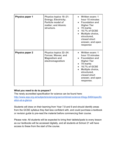| <b>Physics paper 1</b> | <b>Physics topics 18-21:</b><br><b>Energy; Electricity;</b><br><b>Particle model of</b><br>matter; and Atomic<br>structure. | • Written exam: 1<br>hour 15 minutes<br>• Foundation and<br><b>Higher Tier</b><br>• 70 marks<br>• 16.7% of GCSE<br>Multiple choice,<br>$\bullet$<br>structured,<br>closed short<br>answer, and open<br>response |
|------------------------|-----------------------------------------------------------------------------------------------------------------------------|-----------------------------------------------------------------------------------------------------------------------------------------------------------------------------------------------------------------|
| <b>Physics paper 2</b> | <b>Physics topics 22-24:</b><br><b>Forces; Waves; and</b><br><b>Magnetism and</b><br>electromagnetism                       | • Written exam: 1<br>hour 15 minutes<br>• Foundation and<br><b>Higher Tier</b><br>• 70 marks<br>• 16.7% of GCSE<br><b>Multiple choice,</b><br>structured,<br>closed short<br>answer, and open<br>response.      |

The newly accredited specification for science can be found here: [http://www.aqa.org.uk/subjects/science/gcse/combined-science-trilogy-8464/specific](http://www.aqa.org.uk/subjects/science/gcse/combined-science-trilogy-8464/specification-at-a-glance) [ation-at-a-glance](http://www.aqa.org.uk/subjects/science/gcse/combined-science-trilogy-8464/specification-at-a-glance)

Students will draw on their learning from Year 7,8 and 9 and should identify areas from the GCSE syllabus they feel less confident with, and could purchase a textbook or revision guide to pre-read the material before commencing their course.

Please note: All students will be expected to bring their tablets/ipads to every lesson as our textbooks will be accessed digitally, and all students at School 21 will have access to these from the start of the course.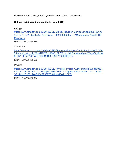Recommended books, should you wish to purchase hard copies:

### **Collins revision guides (available June 2016)**

**Biology** 

[https://www.amazon.co.uk/AQA-GCSE-Biology-Revision-Curriculum/dp/0008160678](https://www.amazon.co.uk/AQA-GCSE-Biology-Revision-Curriculum/dp/0008160678/ref=sr_1_24?s=books&ie=UTF8&qid=1462956992&sr=1-24&keywords=AQA+GCSE+science) [/ref=sr\\_1\\_24?s=books&ie=UTF8&qid=1462956992&sr=1-24&keywords=AQA+GCS](https://www.amazon.co.uk/AQA-GCSE-Biology-Revision-Curriculum/dp/0008160678/ref=sr_1_24?s=books&ie=UTF8&qid=1462956992&sr=1-24&keywords=AQA+GCSE+science) [E+science](https://www.amazon.co.uk/AQA-GCSE-Biology-Revision-Curriculum/dp/0008160678/ref=sr_1_24?s=books&ie=UTF8&qid=1462956992&sr=1-24&keywords=AQA+GCSE+science) ISBN-10: 0008160678

**Chemistry** 

[https://www.amazon.co.uk/AQA-GCSE-Chemistry-Revision-Curriculum/dp/00081606](https://www.amazon.co.uk/AQA-GCSE-Chemistry-Revision-Curriculum/dp/0008160686/ref=pd_sim_14_2?ie=UTF8&dpID=51Pb737yajL&dpSrc=sims&preST=_AC_UL160_SR114%2C160_&refRID=G9D90FJ5JHV05J2HDFEV) [86/ref=pd\\_sim\\_14\\_2?ie=UTF8&dpID=51Pb737yajL&dpSrc=sims&preST=\\_AC\\_UL16](https://www.amazon.co.uk/AQA-GCSE-Chemistry-Revision-Curriculum/dp/0008160686/ref=pd_sim_14_2?ie=UTF8&dpID=51Pb737yajL&dpSrc=sims&preST=_AC_UL160_SR114%2C160_&refRID=G9D90FJ5JHV05J2HDFEV) [0\\_SR114%2C160\\_&refRID=G9D90FJ5JHV05J2HDFEV](https://www.amazon.co.uk/AQA-GCSE-Chemistry-Revision-Curriculum/dp/0008160686/ref=pd_sim_14_2?ie=UTF8&dpID=51Pb737yajL&dpSrc=sims&preST=_AC_UL160_SR114%2C160_&refRID=G9D90FJ5JHV05J2HDFEV)

ISBN-10: 0008160686

Physics

[https://www.amazon.co.uk/AQA-GCSE-Physics-Revision-Curriculum/dp/0008160694](https://www.amazon.co.uk/AQA-GCSE-Physics-Revision-Curriculum/dp/0008160694/ref=pd_sim_14_1?ie=UTF8&dpID=51k2RB8Z-IL&dpSrc=sims&preST=_AC_UL160_SR114%2C160_&refRID=P25ZE5EAG19VKW2J1BDB) /ref=pd\_sim\_14\_1?ie=UTF8&dpID=51k2RB8Z-IL&dpSrc=sims&preST=\_AC\_UL160 [SR114%2C160\\_&refRID=P25ZE5EAG19VKW2J1BDB](https://www.amazon.co.uk/AQA-GCSE-Physics-Revision-Curriculum/dp/0008160694/ref=pd_sim_14_1?ie=UTF8&dpID=51k2RB8Z-IL&dpSrc=sims&preST=_AC_UL160_SR114%2C160_&refRID=P25ZE5EAG19VKW2J1BDB)

ISBN-10: 0008160694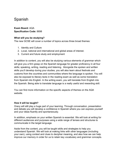# <span id="page-35-0"></span>Spanish

# **Exam Board:** AQA **Specification Code:** 8698

### **What will you be studying?**

The new GCSE will cover a number of topics across three broad themes:

- 1. Identity and Culture
- 2. Local, national and international and global areas of interest.
- 3. Current and future study and employment

In addition to content, you will also be studying various elements of grammar which will give you a firm grasp on the Spanish language for greater proficiency in all four skills; speaking, writing, reading and listening. Alongside the spoken and written skills you'll develop during your studies, you will also learn about festivals and customs from the countries and communities where the language is spoken. You will also be exposed to literary texts in the reading exam as well as some translation from Spanish into English. In the writing exam, you will translate from English into the Spanish. Being able to translate language is a really useful and rewarding skill.

You can find more information on the specific aspects of themes on the AQA website.

### **How it will be taught?**

Oracy will still play a huge part of your learning. Through conversation, presentation and debate you will develop a confidence in Spanish where you can express yourself and your ideas fluently and spontaneously.

In addition, emphasis on your written Spanish is essential. We will look at writing for different audiences and purposes using a wide range of tenses and structures to communicate in the target language.

Aside from the content, you will be taught skills and strategies to help you understand Spanish. We will look at making links with other languages (including your own), using context and clues to decipher meaning, and also how we can help improve our memory in order for us to retain key vocabulary and grammar concepts.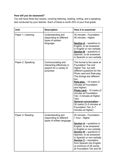# **How will you be assessed?**

You will have three four exams, covering listening, reading, writing, and a speaking test conducted by your teacher. Each of these is worth 25% of your final grade.

| Unit               | <b>Description</b>                                                                     | How it is examined                                                                                                                                                                                                                                                                                                                                                                                                                                   |
|--------------------|----------------------------------------------------------------------------------------|------------------------------------------------------------------------------------------------------------------------------------------------------------------------------------------------------------------------------------------------------------------------------------------------------------------------------------------------------------------------------------------------------------------------------------------------------|
| Paper 1: Listening | Understanding and<br>responding to different<br>types of spoken<br>language.           | 35 minutes - Foundation<br>45 minutes - Higher<br><b>Section A</b> – questions in<br>English, to be answered<br>in English or non-verbally<br><b>Section B</b> – questions in<br>Spanish, to be answered<br>in Spanish or non-verbally                                                                                                                                                                                                               |
| Paper 2: Speaking  | Communicating and<br>interacting effectively in<br>speech for a variety of<br>purposes | The format is the same at<br><b>Foundation Tier and</b><br>Higher Tier, but with<br>different questions for the<br>Photo card and Role-play.<br>The timings are different<br>too:<br>Role-play - 15 marks (2<br>minutes at Foundation<br>and Higher)<br>Photo card - 15 marks (2)<br>minutes at Foundation<br>Tier; 3 minutes at Higher<br>Tier)<br>General conversation -<br>30 marks (3-5 minutes at<br>Foundation Tier; 5-7<br>minutes at Higher) |
| Paper 3: Reading   | Understanding and<br>responding to different<br>types of written language              | 45 minutes - Foundation<br>1 hour - Higher<br><b>Section A</b> – questions in<br>English, to be answered<br>in English or non-verbally<br><b>Section B</b> – questions in<br>Spanish, to be answered<br>in Spanish or non-verbally<br>Section C - translation<br>from Spanish into English<br>(a minimum of 35 words<br>at Foundation Tier and 50                                                                                                    |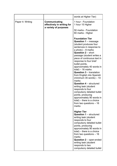|                  |                                                                      | words at Higher Tier)                                                                                                                                                                                                                                                                                                                                                                                                                                                                                                                                                                                                                                          |
|------------------|----------------------------------------------------------------------|----------------------------------------------------------------------------------------------------------------------------------------------------------------------------------------------------------------------------------------------------------------------------------------------------------------------------------------------------------------------------------------------------------------------------------------------------------------------------------------------------------------------------------------------------------------------------------------------------------------------------------------------------------------|
| Paper 4: Writing | Communicating<br>effectively in writing for<br>a variety of purposes | 1 hour - Foundation<br>1 hour 15 Higher<br>50 marks - Foundation<br>60 marks - Higher                                                                                                                                                                                                                                                                                                                                                                                                                                                                                                                                                                          |
|                  |                                                                      | <b>Foundation Tier</b><br><b>Question 1</b> – message<br>(student produces four<br>sentences in response to<br>a $photo) - 8$ marks<br>Question 2 - short<br>passage (student writes a<br>piece of continuous text in<br>response to four brief<br>bullet points,<br>approximately 40 words in<br>$total$ ) - 16 marks<br><b>Question 3 – translation</b><br>from English into Spanish<br>$(minimum 35 words) - 10$<br>marks<br><b>Question 4 – structured</b><br>writing task (student<br>responds to four<br>compulsory detailed bullet<br>points, producing<br>approximately 90 words in<br>total) - there is a choice<br>from two questions $-16$<br>marks |
|                  |                                                                      | <b>Higher Tier</b><br><b>Question 1 - structured</b><br>writing task (student<br>responds to four<br>compulsory detailed bullet<br>points, producing<br>approximately 90 words in<br>total) - there is a choice<br>from two questions $-16$<br>marks<br>Question 2 - open-ended<br>writing task (student<br>responds to two<br>compulsory detailed bullet                                                                                                                                                                                                                                                                                                      |